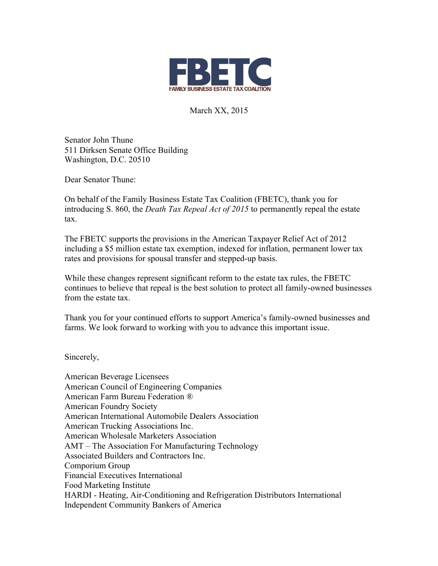

March XX, 2015

Senator John Thune 511 Dirksen Senate Office Building Washington, D.C. 20510

Dear Senator Thune:

On behalf of the Family Business Estate Tax Coalition (FBETC), thank you for introducing S. 860, the *Death Tax Repeal Act of 2015* to permanently repeal the estate tax.

The FBETC supports the provisions in the American Taxpayer Relief Act of 2012 including a \$5 million estate tax exemption, indexed for inflation, permanent lower tax rates and provisions for spousal transfer and stepped-up basis.

While these changes represent significant reform to the estate tax rules, the FBETC continues to believe that repeal is the best solution to protect all family-owned businesses from the estate tax.

Thank you for your continued efforts to support America's family-owned businesses and farms. We look forward to working with you to advance this important issue.

Sincerely,

American Beverage Licensees American Council of Engineering Companies American Farm Bureau Federation ® American Foundry Society American International Automobile Dealers Association American Trucking Associations Inc. American Wholesale Marketers Association AMT – The Association For Manufacturing Technology Associated Builders and Contractors Inc. Comporium Group Financial Executives International Food Marketing Institute HARDI - Heating, Air-Conditioning and Refrigeration Distributors International Independent Community Bankers of America